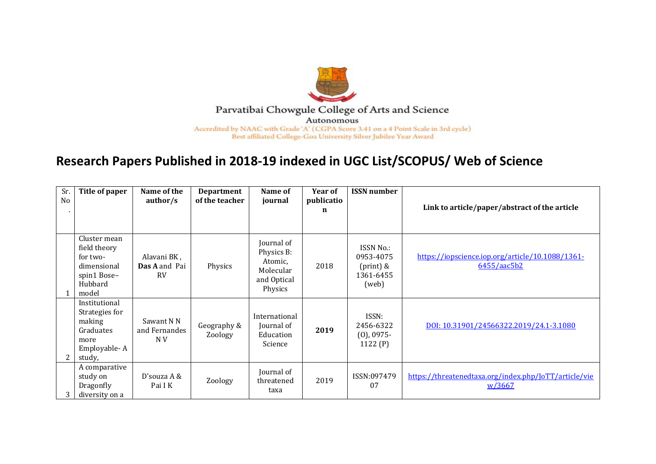

## Parvatibai Chowgule College of Arts and Science Autonomous

Accredited by NAAC with Grade 'A' (CGPA Score 3.41 on a 4 Point Scale in 3rd cycle) Best affiliated College-Goa University Silver Jubilee Year Award

## **Research Papers Published in 2018-19 indexed in UGC List/SCOPUS/ Web of Science**

| Sr.<br>N <sub>o</sub> | Title of paper                                                                             | Name of the<br>author/s                   | <b>Department</b><br>of the teacher | Name of<br>journal                                                         | Year of<br>publicatio<br>n | <b>ISSN</b> number                                                 | Link to article/paper/abstract of the article                   |
|-----------------------|--------------------------------------------------------------------------------------------|-------------------------------------------|-------------------------------------|----------------------------------------------------------------------------|----------------------------|--------------------------------------------------------------------|-----------------------------------------------------------------|
|                       | Cluster mean<br>field theory<br>for two-<br>dimensional<br>spin1 Bose-<br>Hubbard<br>model | Alavani BK,<br>Das A and Pai<br><b>RV</b> | Physics                             | Journal of<br>Physics B:<br>Atomic.<br>Molecular<br>and Optical<br>Physics | 2018                       | ISSN No.:<br>0953-4075<br>$(\text{print})$ &<br>1361-6455<br>(web) | https://iopscience.iop.org/article/10.1088/1361-<br>6455/aac5b2 |
| 2                     | Institutional<br>Strategies for<br>making<br>Graduates<br>more<br>Employable-A<br>study,   | Sawant N N<br>and Fernandes<br>N V        | Geography &<br>Zoology              | International<br>Journal of<br>Education<br>Science                        | 2019                       | ISSN:<br>2456-6322<br>$(0)$ , 0975-<br>1122 $(P)$                  | DOI: 10.31901/24566322.2019/24.1-3.1080                         |
| 3                     | A comparative<br>study on<br>Dragonfly<br>diversity on a                                   | D'souza $A \&$<br>Pai I K                 | Zoology                             | Journal of<br>threatened<br>taxa                                           | 2019                       | ISSN:097479<br>07                                                  | https://threatenedtaxa.org/index.php/JoTT/article/vie<br>W/3667 |